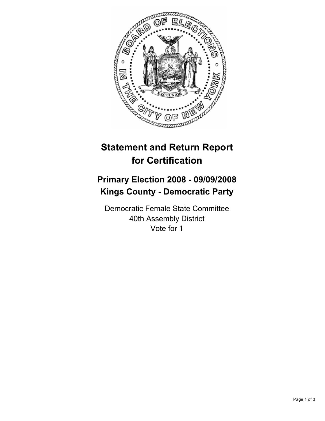

## **Statement and Return Report for Certification**

## **Primary Election 2008 - 09/09/2008 Kings County - Democratic Party**

Democratic Female State Committee 40th Assembly District Vote for 1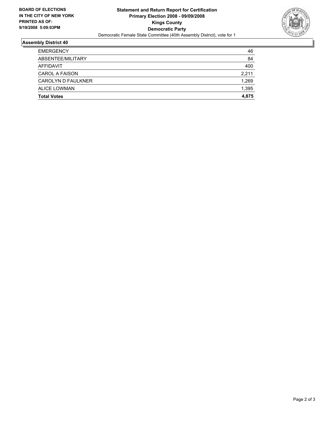

## **Assembly District 40**

| ABSENTEE/MILITARY         | 84    |
|---------------------------|-------|
| AFFIDAVIT                 | 400   |
| <b>CAROL A FAISON</b>     | 2,211 |
| <b>CAROLYN D FAULKNER</b> | 1,269 |
| ALICE LOWMAN              | 1,395 |
| <b>Total Votes</b>        | 4,875 |